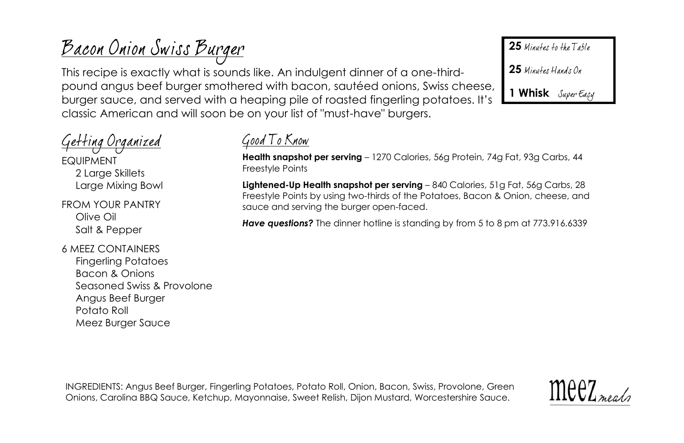# <u> Bacon Onion Swiss Burger</u>

This recipe is exactly what is sounds like. An indulgent dinner of a one-thirdpound angus beef burger smothered with bacon, sautéed onions, Swiss cheese, burger sauce, and served with a heaping pile of roasted fingerling potatoes. It's classic American and will soon be on your list of "must-have" burgers.

<u>Getting Organized</u>

EQUIPMENT 2 Large Skillets Large Mixing Bowl

FROM YOUR PANTRY Olive Oil Salt & Pepper

6 MEEZ CONTAINERS

Fingerling Potatoes Bacon & Onions Seasoned Swiss & Provolone Angus Beef Burger Potato Roll Meez Burger Sauce



**Health snapshot per serving** – 1270 Calories, 56g Protein, 74g Fat, 93g Carbs, 44 Freestyle Points

**Lightened-Up Health snapshot per serving** – 840 Calories, 51g Fat, 56g Carbs, 28 Freestyle Points by using two-thirds of the Potatoes, Bacon & Onion, cheese, and sauce and serving the burger open-faced.

**Have questions?** The dinner hotline is standing by from 5 to 8 pm at 773.916.6339

INGREDIENTS: Angus Beef Burger, Fingerling Potatoes, Potato Roll, Onion, Bacon, Swiss, Provolone, Green Onions, Carolina BBQ Sauce, Ketchup, Mayonnaise, Sweet Relish, Dijon Mustard, Worcestershire Sauce.



25 Minutes to the Table

25 Minutes Hands On

**1 Whisk**